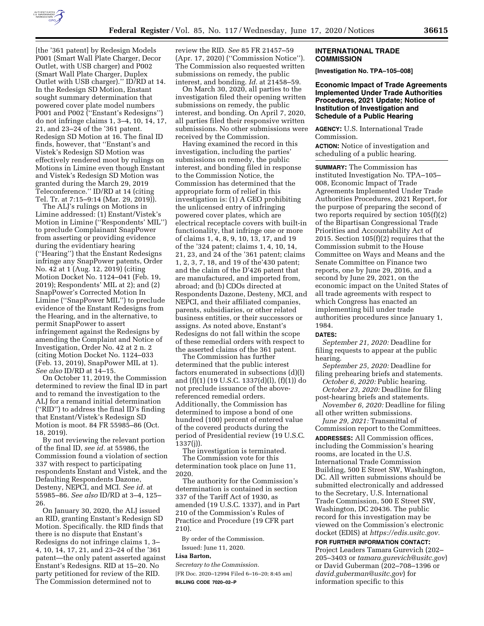

[the '361 patent] by Redesign Models P001 (Smart Wall Plate Charger, Decor Outlet, with USB charger) and P002 (Smart Wall Plate Charger, Duplex Outlet with USB charger).'' ID/RD at 14. In the Redesign SD Motion, Enstant sought summary determination that powered cover plate model numbers P001 and P002 (''Enstant's Redesigns'') do not infringe claims 1, 3–4, 10, 14, 17, 21, and 23–24 of the '361 patent. Redesign SD Motion at 16. The final ID finds, however, that ''Enstant's and Vistek's Redesign SD Motion was effectively rendered moot by rulings on Motions in Limine even though Enstant and Vistek's Redesign SD Motion was granted during the March 29, 2019 Teleconference.'' ID/RD at 14 (citing Tel. Tr. at 7:15–9:14 (Mar. 29, 2019)).

The ALJ's rulings on Motions in Limine addressed: (1) Enstant/Vistek's Motion in Limine (''Respondents' MIL'') to preclude Complainant SnapPower from asserting or providing evidence during the evidentiary hearing (''Hearing'') that the Enstant Redesigns infringe any SnapPower patents, Order No. 42 at 1 (Aug. 12, 2019) (citing Motion Docket No. 1124–041 (Feb. 19, 2019); Respondents' MIL at 2); and (2) SnapPower's Corrected Motion In Limine (''SnapPower MIL'') to preclude evidence of the Enstant Redesigns from the Hearing, and in the alternative, to permit SnapPower to assert infringement against the Redesigns by amending the Complaint and Notice of Investigation, Order No. 42 at 2 n. 2 (citing Motion Docket No. 1124–033 (Feb. 13, 2019), SnapPower MIL at 1). *See also* ID/RD at 14–15.

On October 11, 2019, the Commission determined to review the final ID in part and to remand the investigation to the ALJ for a remand initial determination (''RID'') to address the final ID's finding that Enstant/Vistek's Redesign SD Motion is moot. 84 FR 55985–86 (Oct. 18, 2019).

By not reviewing the relevant portion of the final ID, *see id.* at 55986, the Commission found a violation of section 337 with respect to participating respondents Enstant and Vistek, and the Defaulting Respondents Dazone, Desteny, NEPCI, and MCI. *See id.* at 55985–86. *See also* ID/RD at 3–4, 125– 26.

On January 30, 2020, the ALJ issued an RID, granting Enstant's Redesign SD Motion. Specifically. the RID finds that there is no dispute that Enstant's Redesigns do not infringe claims 1, 3– 4, 10, 14, 17, 21, and 23–24 of the '361 patent—the only patent asserted against Enstant's Redesigns. RID at 15–20. No party petitioned for review of the RID. The Commission determined not to

review the RID. *See* 85 FR 21457–59 (Apr. 17, 2020) (''Commission Notice''). The Commission also requested written submissions on remedy, the public interest, and bonding. *Id.* at 21458–59.

On March 30, 2020, all parties to the investigation filed their opening written submissions on remedy, the public interest, and bonding. On April 7, 2020, all parties filed their responsive written submissions. No other submissions were received by the Commission.

Having examined the record in this investigation, including the parties' submissions on remedy, the public interest, and bonding filed in response to the Commission Notice, the Commission has determined that the appropriate form of relief in this investigation is: (1) A GEO prohibiting the unlicensed entry of infringing powered cover plates, which are electrical receptacle covers with built-in functionality, that infringe one or more of claims 1, 4, 8, 9, 10, 13, 17, and 19 of the '324 patent; claims 1, 4, 10, 14, 21, 23, and 24 of the '361 patent; claims 1, 2, 3, 7, 18, and 19 of the'430 patent; and the claim of the D'426 patent that are manufactured, and imported from, abroad; and (b) CDOs directed at Respondents Dazone, Desteny, MCI, and NEPCI, and their affiliated companies, parents, subsidiaries, or other related business entities, or their successors or assigns. As noted above, Enstant's Redesigns do not fall within the scope of these remedial orders with respect to the asserted claims of the 361 patent.

The Commission has further determined that the public interest factors enumerated in subsections (d)(l) and (f)(1) (19 U.S.C. 1337(d)(l), (f)(1)) do not preclude issuance of the abovereferenced remedial orders. Additionally, the Commission has determined to impose a bond of one hundred (100) percent of entered value of the covered products during the period of Presidential review (19 U.S.C. 1337(j)).

The investigation is terminated. The Commission vote for this determination took place on June 11, 2020.

The authority for the Commission's determination is contained in section 337 of the Tariff Act of 1930, as amended (19 U.S.C. 1337), and in Part 210 of the Commission's Rules of Practice and Procedure (19 CFR part 210).

By order of the Commission. Issued: June 11, 2020.

### **Lisa Barton,**

*Secretary to the Commission.* 

[FR Doc. 2020–12994 Filed 6–16–20; 8:45 am] **BILLING CODE 7020–02–P** 

## **INTERNATIONAL TRADE COMMISSION**

**[Investigation No. TPA–105–008]** 

# **Economic Impact of Trade Agreements Implemented Under Trade Authorities Procedures, 2021 Update; Notice of Institution of Investigation and Schedule of a Public Hearing**

**AGENCY:** U.S. International Trade Commission.

**ACTION:** Notice of investigation and scheduling of a public hearing.

**SUMMARY:** The Commission has instituted Investigation No. TPA–105– 008, Economic Impact of Trade Agreements Implemented Under Trade Authorities Procedures, 2021 Report, for the purpose of preparing the second of two reports required by section 105(f)(2) of the Bipartisan Congressional Trade Priorities and Accountability Act of 2015. Section 105(f)(2) requires that the Commission submit to the House Committee on Ways and Means and the Senate Committee on Finance two reports, one by June 29, 2016, and a second by June 29, 2021, on the economic impact on the United States of all trade agreements with respect to which Congress has enacted an implementing bill under trade authorities procedures since January 1, 1984.

#### **DATES:**

*September 21, 2020:* Deadline for filing requests to appear at the public hearing.

*September 25, 2020:* Deadline for filing prehearing briefs and statements. *October 6, 2020:* Public hearing.

*October 23, 2020:* Deadline for filing post-hearing briefs and statements.

*November 6, 2020:* Deadline for filing all other written submissions.

*June 29, 2021:* Transmittal of Commission report to the Committees. **ADDRESSES:** All Commission offices, including the Commission's hearing rooms, are located in the U.S. International Trade Commission Building, 500 E Street SW, Washington, DC. All written submissions should be submitted electronically and addressed to the Secretary, U.S. International Trade Commission, 500 E Street SW, Washington, DC 20436. The public record for this investigation may be viewed on the Commission's electronic docket (EDIS) at *[https://edis.usitc.gov.](https://edis.usitc.gov)* 

**FOR FURTHER INFORMATION CONTACT:**  Project Leaders Tamara Gurevich (202– 205–3403 or *[tamara.gurevich@usitc.gov](mailto:tamara.gurevich@usitc.gov)*) or David Guberman (202–708–1396 or *[david.guberman@usitc.gov](mailto:david.guberman@usitc.gov)*) for information specific to this